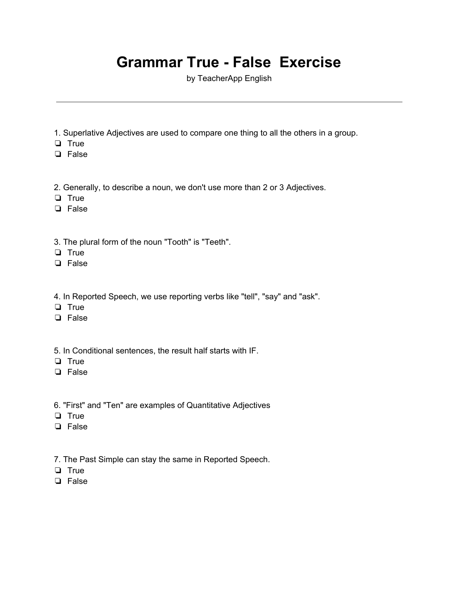## **Grammar True - False Exercise**

by TeacherApp English

- 1. Superlative Adjectives are used to compare one thing to all the others in a group.
- ❏ True
- ❏ False
- 2. Generally, to describe a noun, we don't use more than 2 or 3 Adjectives.
- ❏ True
- ❏ False
- 3. The plural form of the noun "Tooth" is "Teeth".
- ❏ True
- ❏ False
- 4. In Reported Speech, we use reporting verbs like "tell", "say" and "ask".
- ❏ True
- ❏ False
- 5. In Conditional sentences, the result half starts with IF.
- ❏ True
- ❏ False
- 6. "First" and "Ten" are examples of Quantitative Adjectives
- ❏ True
- ❏ False
- 7. The Past Simple can stay the same in Reported Speech.
- ❏ True
- ❏ False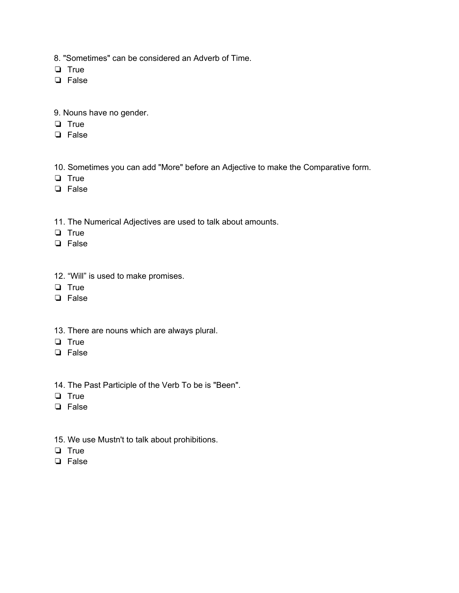8. "Sometimes" can be considered an Adverb of Time.

- ❏ True
- ❏ False
- 9. Nouns have no gender.
- ❏ True
- ❏ False
- 10. Sometimes you can add "More" before an Adjective to make the Comparative form.
- ❏ True
- ❏ False
- 11. The Numerical Adjectives are used to talk about amounts.
- ❏ True
- ❏ False
- 12. "Will" is used to make promises.
- ❏ True
- ❏ False
- 13. There are nouns which are always plural.
- ❏ True
- ❏ False
- 14. The Past Participle of the Verb To be is "Been".
- ❏ True
- ❏ False
- 15. We use Mustn't to talk about prohibitions.
- ❏ True
- ❏ False